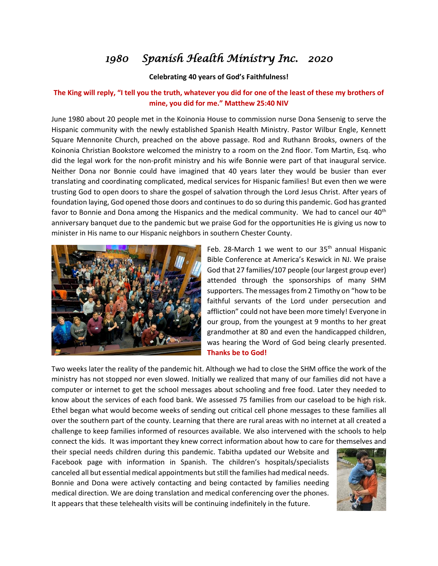## *1980 Spanish Health Ministry Inc. 2020*

## **Celebrating 40 years of God's Faithfulness!**

## **The King will reply, "I tell you the truth, whatever you did for one of the least of these my brothers of mine, you did for me." Matthew 25:40 NIV**

June 1980 about 20 people met in the Koinonia House to commission nurse Dona Sensenig to serve the Hispanic community with the newly established Spanish Health Ministry. Pastor Wilbur Engle, Kennett Square Mennonite Church, preached on the above passage. Rod and Ruthann Brooks, owners of the Koinonia Christian Bookstore welcomed the ministry to a room on the 2nd floor. Tom Martin, Esq. who did the legal work for the non-profit ministry and his wife Bonnie were part of that inaugural service. Neither Dona nor Bonnie could have imagined that 40 years later they would be busier than ever translating and coordinating complicated, medical services for Hispanic families! But even then we were trusting God to open doors to share the gospel of salvation through the Lord Jesus Christ. After years of foundation laying, God opened those doors and continues to do so during this pandemic. God has granted favor to Bonnie and Dona among the Hispanics and the medical community. We had to cancel our 40<sup>th</sup> anniversary banquet due to the pandemic but we praise God for the opportunities He is giving us now to minister in His name to our Hispanic neighbors in southern Chester County.



Feb. 28-March 1 we went to our 35<sup>th</sup> annual Hispanic Bible Conference at America's Keswick in NJ. We praise God that 27 families/107 people (our largest group ever) attended through the sponsorships of many SHM supporters. The messages from 2 Timothy on "how to be faithful servants of the Lord under persecution and affliction" could not have been more timely! Everyone in our group, from the youngest at 9 months to her great grandmother at 80 and even the handicapped children, was hearing the Word of God being clearly presented. **Thanks be to God!**

Two weeks later the reality of the pandemic hit. Although we had to close the SHM office the work of the ministry has not stopped nor even slowed. Initially we realized that many of our families did not have a computer or internet to get the school messages about schooling and free food. Later they needed to know about the services of each food bank. We assessed 75 families from our caseload to be high risk. Ethel began what would become weeks of sending out critical cell phone messages to these families all over the southern part of the county. Learning that there are rural areas with no internet at all created a challenge to keep families informed of resources available. We also intervened with the schools to help connect the kids. It was important they knew correct information about how to care for themselves and

their special needs children during this pandemic. Tabitha updated our Website and Facebook page with information in Spanish. The children's hospitals/specialists canceled all but essential medical appointments but still the families had medical needs. Bonnie and Dona were actively contacting and being contacted by families needing medical direction. We are doing translation and medical conferencing over the phones. It appears that these telehealth visits will be continuing indefinitely in the future.

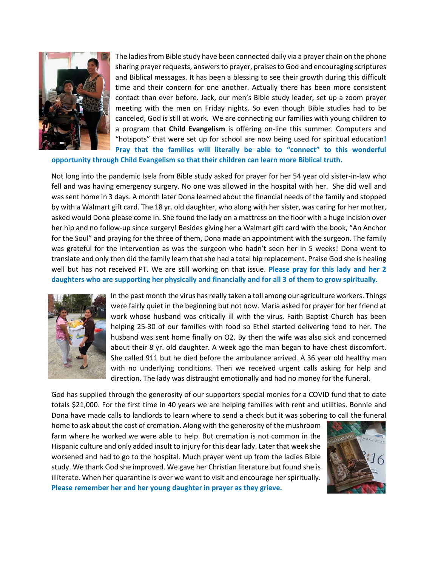

The ladies from Bible study have been connected daily via a prayer chain on the phone sharing prayer requests, answers to prayer, praises to God and encouraging scriptures and Biblical messages. It has been a blessing to see their growth during this difficult time and their concern for one another. Actually there has been more consistent contact than ever before. Jack, our men's Bible study leader, set up a zoom prayer meeting with the men on Friday nights. So even though Bible studies had to be canceled, God is still at work. We are connecting our families with young children to a program that **Child Evangelism** is offering on-line this summer. Computers and "hotspots" that were set up for school are now being used for spiritual education**! Pray that the families will literally be able to "connect" to this wonderful** 

**opportunity through Child Evangelism so that their children can learn more Biblical truth.**

Not long into the pandemic Isela from Bible study asked for prayer for her 54 year old sister-in-law who fell and was having emergency surgery. No one was allowed in the hospital with her. She did well and was sent home in 3 days. A month later Dona learned about the financial needs of the family and stopped by with a Walmart gift card. The 18 yr. old daughter, who along with her sister, was caring for her mother, asked would Dona please come in. She found the lady on a mattress on the floor with a huge incision over her hip and no follow-up since surgery! Besides giving her a Walmart gift card with the book, "An Anchor for the Soul" and praying for the three of them, Dona made an appointment with the surgeon. The family was grateful for the intervention as was the surgeon who hadn't seen her in 5 weeks! Dona went to translate and only then did the family learn that she had a total hip replacement. Praise God she is healing well but has not received PT. We are still working on that issue. **Please pray for this lady and her 2 daughters who are supporting her physically and financially and for all 3 of them to grow spiritually.**



In the past month the virus has really taken a toll among our agriculture workers. Things were fairly quiet in the beginning but not now. Maria asked for prayer for her friend at work whose husband was critically ill with the virus. Faith Baptist Church has been helping 25-30 of our families with food so Ethel started delivering food to her. The husband was sent home finally on O2. By then the wife was also sick and concerned about their 8 yr. old daughter. A week ago the man began to have chest discomfort. She called 911 but he died before the ambulance arrived. A 36 year old healthy man with no underlying conditions. Then we received urgent calls asking for help and direction. The lady was distraught emotionally and had no money for the funeral.

God has supplied through the generosity of our supporters special monies for a COVID fund that to date totals \$21,000. For the first time in 40 years we are helping families with rent and utilities. Bonnie and Dona have made calls to landlords to learn where to send a check but it was sobering to call the funeral

home to ask about the cost of cremation. Along with the generosity of the mushroom farm where he worked we were able to help. But cremation is not common in the Hispanic culture and only added insult to injury for this dear lady. Later that week she worsened and had to go to the hospital. Much prayer went up from the ladies Bible study. We thank God she improved. We gave her Christian literature but found she is illiterate. When her quarantine is over we want to visit and encourage her spiritually. **Please remember her and her young daughter in prayer as they grieve.**